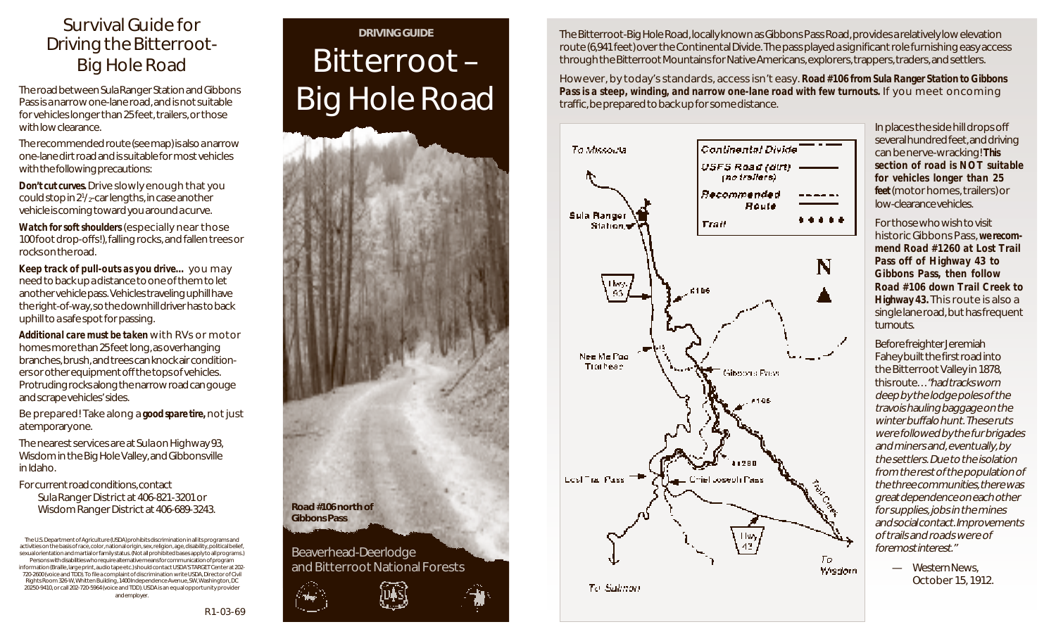#### Survival Guide for Driving the Bitterroot-Big Hole Road

The road between Sula Ranger Station and Gibbons Pass is a narrow one-lane road, and is not suitable for vehicles longer than 25 feet, trailers, or those with low clearance.

The recommended route (see map) is also a narrow one-lane dirt road and is suitable for most vehicles with the following precautions:

*Don't cut curves.* Drive slowly enough that you could stop in 21 /2-car lengths, in case another vehicle is coming toward you around a curve.

*Watch for soft shoulders* (especially near those 100 foot drop-offs!), falling rocks, and fallen trees or rocks on the road.

*Keep track of pull-outs as you drive…* you may need to back up a distance to one of them to let another vehicle pass. Vehicles traveling uphill have the right-of-way, so the downhill driver has to back uphill to a safe spot for passing.

*Additional care must be taken* with RVs or motor homes more than 25 feet long, as overhanging branches, brush, and trees can knock air conditioners or other equipment off the tops of vehicles. Protruding rocks along the narrow road can gouge and scrape vehicles' sides.

Be prepared! Take along a *good spare tire,* not just a temporary one.

The nearest services are at Sula on Highway 93, Wisdom in the Big Hole Valley, and Gibbonsville in Idaho.

For current road conditions, contact Sula Ranger District at 406-821-3201 or Wisdom Ranger District at 406-689-3243.

The U.S. Department of Agriculture (USDA) prohibits discrimination in all its programs and activities on the basis of race, color, national origin, sex, religion, age, disability, political belief, sexual orientation and martial or family status. (Not all prohibited bases apply to all programs.) Persons with disabilities who require alternative means for communication of program information (Braille, large print, audio tape etc.) should contact USDA'S TARGET Center at 202- 720-2600 (voice and TDD). To file a complaint of discrimination write USDA, Director of Civil Rights Room 326-W, Whitten Building, 1400 Independence Avenue, SW, Washington, DC 20250-9410, or call 202-720-5964 (voice and TDD). USDA is an equal opportunity provider and employer.

# **DRIVING GUIDE** Bitterroot – Big Hole Road



The Bitterroot-Big Hole Road, locally known as Gibbons Pass Road, provides a relatively low elevation route (6,941 feet) over the Continental Divide. The pass played a significant role furnishing easy access through the Bitterroot Mountains for Native Americans, explorers, trappers, traders, and settlers.

However, by today's standards, access isn't easy. *Road #106 from Sula Ranger Station to Gibbons Pass is a steep, winding, and narrow one-lane road with few turnouts.* If you meet oncoming traffic, be prepared to back up for some distance.



In places the side hill drops off several hundred feet, and driving can be nerve-wracking! *This section of road is NOT suitable for vehicles longer than 25 feet* (motor homes, trailers) or low-clearance vehicles.

For those who wish to visit historic Gibbons Pass, *we recommend Road #1260 at Lost Trail Pass off of Highway 43 to Gibbons Pass, then follow Road #106 down Trail Creek to Highway 43.* This route is also a single lane road, but has frequent turnouts.

Before freighter Jeremiah Fahey built the first road into the Bitterroot Valley in 1878, this route…"had tracks worn deep by the lodge poles of the travois hauling baggage on the winter buffalo hunt. These ruts were followed by the fur brigades and miners and, eventually, by the settlers. Due to the isolation from the rest of the population of the three communities, there was great dependence on each other for supplies, jobs in the mines and social contact. Improvements of trails and roads were of foremost interest."

> — Western News, October 15, 1912.